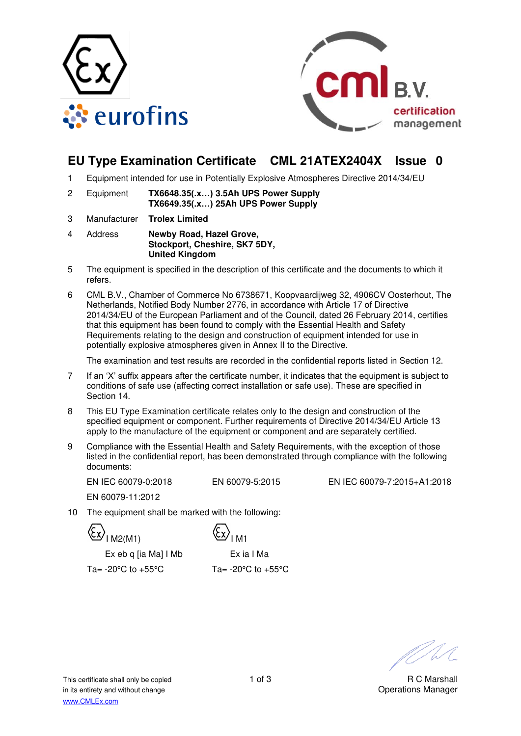



# **EU Type Examination Certificate CML 21ATEX2404X Issue 0**

- 1 Equipment intended for use in Potentially Explosive Atmospheres Directive 2014/34/EU
- 2 Equipment **TX6648.35(.x…) 3.5Ah UPS Power Supply TX6649.35(.x…) 25Ah UPS Power Supply**
- 3 Manufacturer **Trolex Limited**
- 4 Address **Newby Road, Hazel Grove, Stockport, Cheshire, SK7 5DY, United Kingdom**
- 5 The equipment is specified in the description of this certificate and the documents to which it refers.
- 6 CML B.V., Chamber of Commerce No 6738671, Koopvaardijweg 32, 4906CV Oosterhout, The Netherlands, Notified Body Number 2776, in accordance with Article 17 of Directive 2014/34/EU of the European Parliament and of the Council, dated 26 February 2014, certifies that this equipment has been found to comply with the Essential Health and Safety Requirements relating to the design and construction of equipment intended for use in potentially explosive atmospheres given in Annex II to the Directive.

The examination and test results are recorded in the confidential reports listed in Section 12.

- 7 If an 'X' suffix appears after the certificate number, it indicates that the equipment is subject to conditions of safe use (affecting correct installation or safe use). These are specified in Section 14.
- 8 This EU Type Examination certificate relates only to the design and construction of the specified equipment or component. Further requirements of Directive 2014/34/EU Article 13 apply to the manufacture of the equipment or component and are separately certified.
- 9 Compliance with the Essential Health and Safety Requirements, with the exception of those listed in the confidential report, has been demonstrated through compliance with the following documents:

EN IEC 60079-0:2018 EN 60079-5:2015 EN IEC 60079-7:2015+A1:2018

EN 60079-11:2012

The equipment shall be marked with the following:

 $\frac{X}{2}$ I M2(M1)  $\frac{X}{2}$ I M1

Ex eb q [ia Ma] I Mb Ex ia I Ma

Ta=  $-20^{\circ}$ C to  $+55^{\circ}$ C Ta=  $-20^{\circ}$ C to  $+55^{\circ}$ C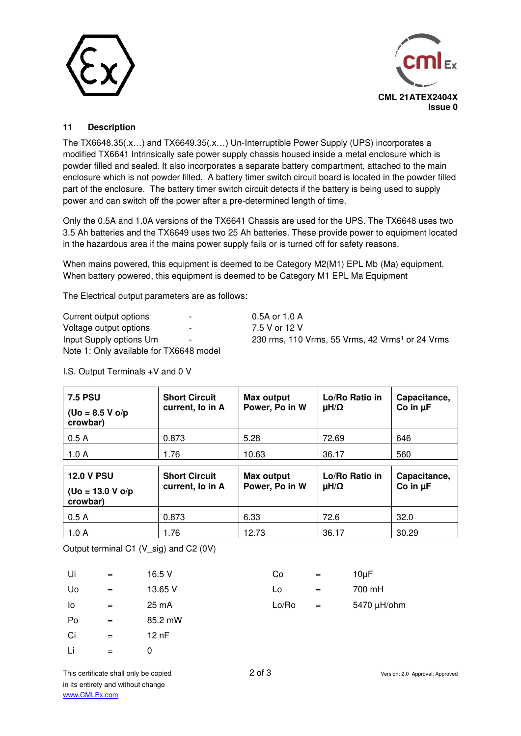



### **11 Description**

The TX6648.35(.x…) and TX6649.35(.x…) Un-Interruptible Power Supply (UPS) incorporates a modified TX6641 Intrinsically safe power supply chassis housed inside a metal enclosure which is powder filled and sealed. It also incorporates a separate battery compartment, attached to the main enclosure which is not powder filled. A battery timer switch circuit board is located in the powder filled part of the enclosure. The battery timer switch circuit detects if the battery is being used to supply power and can switch off the power after a pre-determined length of time.

Only the 0.5A and 1.0A versions of the TX6641 Chassis are used for the UPS. The TX6648 uses two 3.5 Ah batteries and the TX6649 uses two 25 Ah batteries. These provide power to equipment located in the hazardous area if the mains power supply fails or is turned off for safety reasons.

When mains powered, this equipment is deemed to be Category M2(M1) EPL Mb (Ma) equipment. When battery powered, this equipment is deemed to be Category M1 EPL Ma Equipment

The Electrical output parameters are as follows:

| Current output options                  | $\overline{\phantom{a}}$ | $0.5A$ or 1.0 A                                             |
|-----------------------------------------|--------------------------|-------------------------------------------------------------|
| Voltage output options                  | $\overline{\phantom{a}}$ | 7.5 V or 12 V                                               |
| Input Supply options Um                 | $\sim$                   | 230 rms, 110 Vrms, 55 Vrms, 42 Vrms <sup>1</sup> or 24 Vrms |
| Note 1: Only available for TX6648 model |                          |                                                             |

| <b>7.5 PSU</b><br>$($ Uo = 8.5 V o/p<br>crowbar)     | <b>Short Circuit</b><br>current, lo in A | Max output<br>Power, Po in W | Lo/Ro Ratio in<br>μH/Ω | Capacitance,<br>Co in $\mu$ F |
|------------------------------------------------------|------------------------------------------|------------------------------|------------------------|-------------------------------|
| 0.5A                                                 | 0.873                                    | 5.28                         | 72.69                  | 646                           |
| 1.0A                                                 | 1.76                                     | 10.63                        | 36.17                  | 560                           |
| <b>12.0 V PSU</b><br>$($ Uo = 13.0 V o/p<br>crowbar) | <b>Short Circuit</b><br>current, lo in A | Max output<br>Power, Po in W | Lo/Ro Ratio in<br>μH/Ω | Capacitance,<br>Co in $\mu$ F |

0.5 A 0.873 6.33 72.6 32.0 1.0 A 1.76 | 12.73 | 36.17 | 30.29

I.S. Output Terminals +V and 0 V

Output terminal C1 (V\_sig) and C2 (0V)

| Ui | $=$ | 16.5 V  | Co    | $=$ | $10\mu F$ |
|----|-----|---------|-------|-----|-----------|
| Uo | $=$ | 13.65 V | Lo    | $=$ | 700 mH    |
| lo | $=$ | 25 mA   | Lo/Ro | $=$ | 5470 µH   |
| Po | $=$ | 85.2 mW |       |     |           |
| Ci | $=$ | 12 nF   |       |     |           |
| Li | $=$ | 0       |       |     |           |

 $Lo/Ro$  = 5470  $\mu$ H/ohm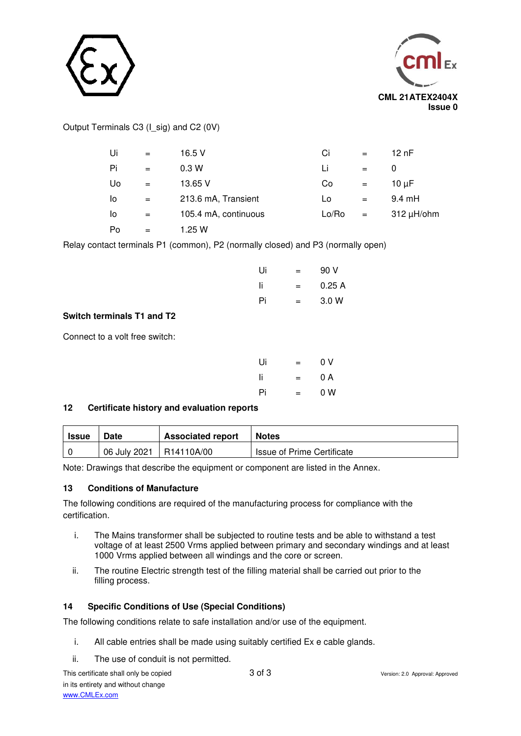



## Output Terminals C3 (I\_sig) and C2 (0V)

| Ui | $=$ | 16.5 V               | Ci    | $=$ | 12 nF            |
|----|-----|----------------------|-------|-----|------------------|
| Pi | $=$ | 0.3W                 | Li    | $=$ | O                |
| Uo | $=$ | 13.65 V              | Co    | $=$ | $10 \mu F$       |
| lo | $=$ | 213.6 mA, Transient  | Lo    | $=$ | $9.4 \text{ mH}$ |
| lo | $=$ | 105.4 mA, continuous | Lo/Ro | $=$ | $312 \mu H/b$ hm |
| Po | $=$ | 1.25 W               |       |     |                  |

Relay contact terminals P1 (common), P2 (normally closed) and P3 (normally open)

| Ui | $=$ | 90 V  |
|----|-----|-------|
| Ιi | $=$ | 0.25A |
| Pi | =   | 3.0 W |
|    |     |       |

### **Switch terminals T1 and T2**

Connect to a volt free switch:

| Ui | = | 0 V |
|----|---|-----|
| Ιi | = | 0 A |
| Pi | = | 0 W |

### **12 Certificate history and evaluation reports**

| Issue | <b>Date</b>  | <b>Associated report</b> | <b>Notes</b>                      |
|-------|--------------|--------------------------|-----------------------------------|
|       | 06 July 2021 | R14110A/00               | <b>Issue of Prime Certificate</b> |

Note: Drawings that describe the equipment or component are listed in the Annex.

#### **13 Conditions of Manufacture**

The following conditions are required of the manufacturing process for compliance with the certification.

- i. The Mains transformer shall be subjected to routine tests and be able to withstand a test voltage of at least 2500 Vrms applied between primary and secondary windings and at least 1000 Vrms applied between all windings and the core or screen.
- ii. The routine Electric strength test of the filling material shall be carried out prior to the filling process.

#### **14 Specific Conditions of Use (Special Conditions)**

The following conditions relate to safe installation and/or use of the equipment.

- i. All cable entries shall be made using suitably certified Ex e cable glands.
- ii. The use of conduit is not permitted.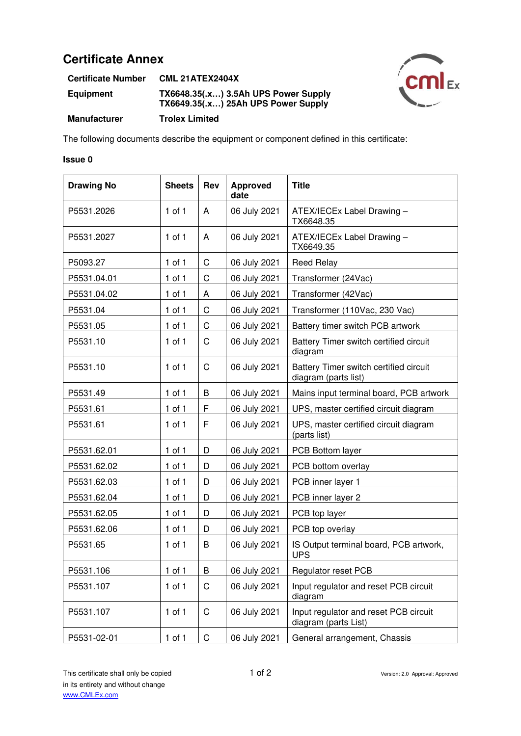# **Certificate Annex**

| <b>Certificate Number</b> | <b>CML 21ATEX2404X</b>                                                      |
|---------------------------|-----------------------------------------------------------------------------|
| <b>Equipment</b>          | TX6648.35(.x) 3.5Ah UPS Power Supply<br>TX6649.35(.x) 25Ah UPS Power Supply |
| <b>Manufacturer</b>       | <b>Trolex Limited</b>                                                       |

The following documents describe the equipment or component defined in this certificate:

#### **Issue 0**

| <b>Drawing No</b> | <b>Sheets</b> | <b>Rev</b>   | <b>Approved</b><br>date | <b>Title</b>                                                   |
|-------------------|---------------|--------------|-------------------------|----------------------------------------------------------------|
| P5531.2026        | $1$ of $1$    | A            | 06 July 2021            | ATEX/IECEx Label Drawing -<br>TX6648.35                        |
| P5531.2027        | $1$ of $1$    | A            | 06 July 2021            | ATEX/IECEx Label Drawing -<br>TX6649.35                        |
| P5093.27          | $1$ of $1$    | $\mathsf C$  | 06 July 2021            | <b>Reed Relay</b>                                              |
| P5531.04.01       | $1$ of $1$    | $\mathsf{C}$ | 06 July 2021            | Transformer (24Vac)                                            |
| P5531.04.02       | $1$ of $1$    | A            | 06 July 2021            | Transformer (42Vac)                                            |
| P5531.04          | $1$ of $1$    | $\mathsf{C}$ | 06 July 2021            | Transformer (110Vac, 230 Vac)                                  |
| P5531.05          | $1$ of $1$    | $\mathsf{C}$ | 06 July 2021            | Battery timer switch PCB artwork                               |
| P5531.10          | $1$ of $1$    | $\mathsf C$  | 06 July 2021            | Battery Timer switch certified circuit<br>diagram              |
| P5531.10          | $1$ of $1$    | $\mathsf C$  | 06 July 2021            | Battery Timer switch certified circuit<br>diagram (parts list) |
| P5531.49          | $1$ of $1$    | B            | 06 July 2021            | Mains input terminal board, PCB artwork                        |
| P5531.61          | $1$ of $1$    | F            | 06 July 2021            | UPS, master certified circuit diagram                          |
| P5531.61          | $1$ of $1$    | F            | 06 July 2021            | UPS, master certified circuit diagram<br>(parts list)          |
| P5531.62.01       | $1$ of $1$    | D            | 06 July 2021            | PCB Bottom layer                                               |
| P5531.62.02       | $1$ of $1$    | D            | 06 July 2021            | PCB bottom overlay                                             |
| P5531.62.03       | $1$ of $1$    | D            | 06 July 2021            | PCB inner layer 1                                              |
| P5531.62.04       | $1$ of $1$    | D            | 06 July 2021            | PCB inner layer 2                                              |
| P5531.62.05       | $1$ of $1$    | D            | 06 July 2021            | PCB top layer                                                  |
| P5531.62.06       | $1$ of $1$    | D            | 06 July 2021            | PCB top overlay                                                |
| P5531.65          | $1$ of $1$    | B            | 06 July 2021            | IS Output terminal board, PCB artwork,<br><b>UPS</b>           |
| P5531.106         | $1$ of $1$    | B            | 06 July 2021            | Regulator reset PCB                                            |
| P5531.107         | $1$ of $1$    | C            | 06 July 2021            | Input regulator and reset PCB circuit<br>diagram               |
| P5531.107         | $1$ of $1$    | $\mathsf C$  | 06 July 2021            | Input regulator and reset PCB circuit<br>diagram (parts List)  |
| P5531-02-01       | $1$ of $1$    | $\mathsf C$  | 06 July 2021            | General arrangement, Chassis                                   |

CMEx